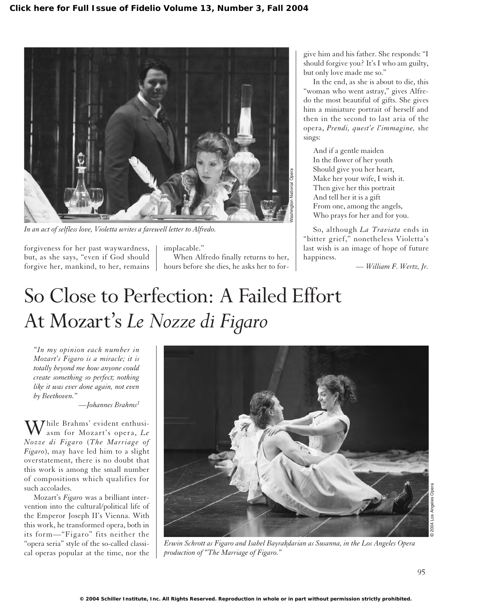

*In an act of selfless love, Violetta writes a farewell letter to Alfredo.*

forgiveness for her past waywardness, but, as she says, "even if God should forgive her, mankind, to her, remains

implacable." When Alfredo finally returns to her, hours before she dies, he asks her to forgive him and his father. She responds: "I should forgive you? It's I who am guilty, but only love made me so."

In the end, as she is about to die, this "woman who went astray," gives Alfredo the most beautiful of gifts. She gives him a miniature portrait of herself and then in the second to last aria of the opera, *Prendi, quest'e l'immagine,* she sings:

And if a gentle maiden In the flower of her youth Should give you her heart, Make her your wife, I wish it. Then give her this portrait And tell her it is a gift From one, among the angels, Who prays for her and for you.

So, although *La Traviata* ends in "bitter grief," nonetheless Violetta's last wish is an image of hope of future happiness.

*— William F. Wertz, Jr.*

## So Close to Perfection: A Failed Effort At Mozart's *Le Nozze di Figaro*

*"In my opinion each number in Mozart's Figaro is a miracle; it is totally beyond me how anyone could create something so perfect; nothing like it was ever done again, not even by Beethoven."*

*—Johannes Brahms<sup>1</sup>*

 $\displaystyle{\mathop{\hbox{\rm W}}\nolimits}$ hile Brahms' evident enthusiasm for Mozart's opera, *Le Nozze di Figaro* (*The Marriage of Figaro*), may have led him to a slight overstatement, there is no doubt that this work is among the small number of compositions which qualifies for such accolades.

Mozart's *Figaro* was a brilliant intervention into the cultural/political life of the Emperor Joseph II's Vienna. With this work, he transformed opera, both in its form—"Figaro" fits neither the "opera seria" style of the so-called classical operas popular at the time, nor the



*Erwin Schrott as Figaro and Isabel Bayrakdarian as Susanna, in the Los Angeles Opera production of "The Marriage of Figaro."*

© 2004 Los Angeles Opera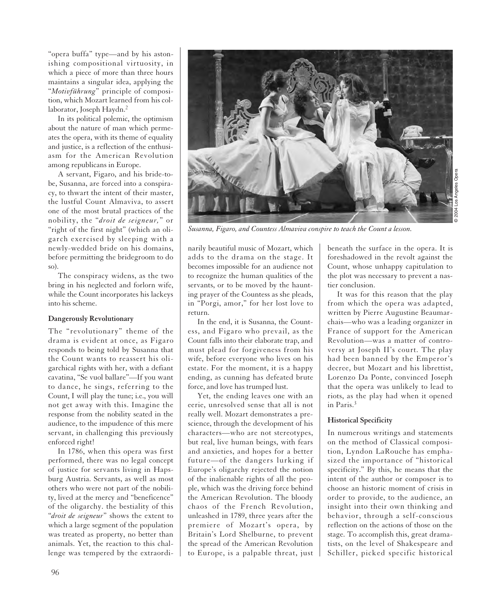"opera buffa" type—and by his astonishing compositional virtuosity, in which a piece of more than three hours maintains a singular idea, applying the "*Motivführung*" principle of composition, which Mozart learned from his collaborator, Joseph Haydn.<sup>2</sup>

In its political polemic, the optimism about the nature of man which permeates the opera, with its theme of equality and justice, is a reflection of the enthusiasm for the American Revolution among republicans in Europe.

A servant, Figaro, and his bride-tobe, Susanna, are forced into a conspiracy, to thwart the intent of their master, the lustful Count Almaviva, to assert one of the most brutal practices of the nobility, the "*droit de seigneur,*" or "right of the first night" (which an oligarch exercised by sleeping with a newly-wedded bride on his domains, before permitting the bridegroom to do so).

The conspiracy widens, as the two bring in his neglected and forlorn wife, while the Count incorporates his lackeys into his scheme.

## **Dangerously Revolutionary**

The "revolutionary" theme of the drama is evident at once, as Figaro responds to being told by Susanna that the Count wants to reassert his oligarchical rights with her, with a defiant cavatina, "Se vuol ballare"—If you want to dance, he sings, referring to the Count, I will play the tune; i.e., you will not get away with this. Imagine the response from the nobility seated in the audience, to the impudence of this mere servant, in challenging this previously enforced right!

In 1786, when this opera was first performed, there was no legal concept of justice for servants living in Hapsburg Austria. Servants, as well as most others who were not part of the nobility, lived at the mercy and "beneficence" of the oligarchy. the bestiality of this "*droit de seigneur*" shows the extent to which a large segment of the population was treated as property, no better than animals. Yet, the reaction to this challenge was tempered by the extraordi-



*Susanna, Figaro, and Countess Almaviva conspire to teach the Count a lesson.*

narily beautiful music of Mozart, which adds to the drama on the stage. It becomes impossible for an audience not to recognize the human qualities of the servants, or to be moved by the haunting prayer of the Countess as she pleads, in "Porgi, amor," for her lost love to return.

In the end, it is Susanna, the Countess, and Figaro who prevail, as the Count falls into their elaborate trap, and must plead for forgiveness from his wife, before everyone who lives on his estate. For the moment, it is a happy ending, as cunning has defeated brute force, and love has trumped lust.

Yet, the ending leaves one with an eerie, unresolved sense that all is not really well. Mozart demonstrates a prescience, through the development of his characters—who are not stereotypes, but real, live human beings, with fears and anxieties, and hopes for a better future—of the dangers lurking if Europe's oligarchy rejected the notion of the inalienable rights of all the people, which was the driving force behind the American Revolution. The bloody chaos of the French Revolution, unleashed in 1789, three years after the premiere of Mozart's opera, by Britain's Lord Shelburne, to prevent the spread of the American Revolution to Europe, is a palpable threat, just beneath the surface in the opera. It is foreshadowed in the revolt against the Count, whose unhappy capitulation to the plot was necessary to prevent a nastier conclusion.

It was for this reason that the play from which the opera was adapted, written by Pierre Augustine Beaumarchais—who was a leading organizer in France of support for the American Revolution—was a matter of controversy at Joseph II's court. The play had been banned by the Emperor's decree, but Mozart and his librettist, Lorenzo Da Ponte, convinced Joseph that the opera was unlikely to lead to riots, as the play had when it opened in Paris.<sup>3</sup>

## **Historical Specificity**

In numerous writings and statements on the method of Classical composition, Lyndon LaRouche has emphasized the importance of "historical specificity." By this, he means that the intent of the author or composer is to choose an historic moment of crisis in order to provide, to the audience, an insight into their own thinking and behavior, through a self-conscious reflection on the actions of those on the stage. To accomplish this, great dramatists, on the level of Shakespeare and Schiller, picked specific historical